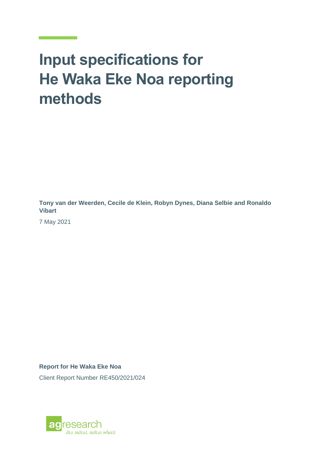# **Input specifications for He Waka Eke Noa reporting methods**

**Tony van der Weerden, Cecile de Klein, Robyn Dynes, Diana Selbie and Ronaldo Vibart**

7 May 2021

**Report for He Waka Eke Noa**

Client Report Number RE450/2021/024

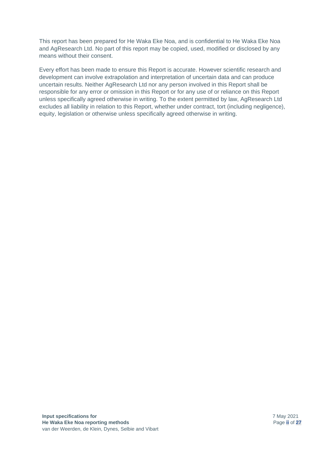This report has been prepared for He Waka Eke Noa, and is confidential to He Waka Eke Noa and AgResearch Ltd. No part of this report may be copied, used, modified or disclosed by any means without their consent.

Every effort has been made to ensure this Report is accurate. However scientific research and development can involve extrapolation and interpretation of uncertain data and can produce uncertain results. Neither AgResearch Ltd nor any person involved in this Report shall be responsible for any error or omission in this Report or for any use of or reliance on this Report unless specifically agreed otherwise in writing. To the extent permitted by law, AgResearch Ltd excludes all liability in relation to this Report, whether under contract, tort (including negligence), equity, legislation or otherwise unless specifically agreed otherwise in writing.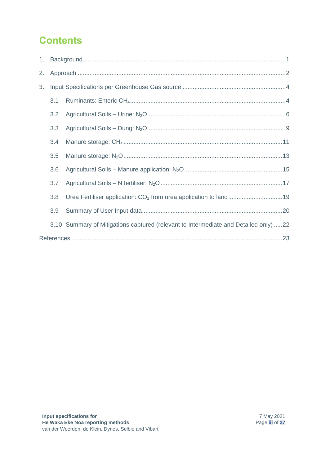# **Contents**

| 1. |     |                                                                                      |  |  |  |
|----|-----|--------------------------------------------------------------------------------------|--|--|--|
| 2. |     |                                                                                      |  |  |  |
| 3. |     |                                                                                      |  |  |  |
|    | 3.1 |                                                                                      |  |  |  |
|    | 3.2 |                                                                                      |  |  |  |
|    | 3.3 |                                                                                      |  |  |  |
|    | 3.4 |                                                                                      |  |  |  |
|    | 3.5 |                                                                                      |  |  |  |
|    | 3.6 |                                                                                      |  |  |  |
|    | 3.7 |                                                                                      |  |  |  |
|    | 3.8 |                                                                                      |  |  |  |
|    | 3.9 |                                                                                      |  |  |  |
|    |     | 3.10 Summary of Mitigations captured (relevant to Intermediate and Detailed only) 22 |  |  |  |
|    |     |                                                                                      |  |  |  |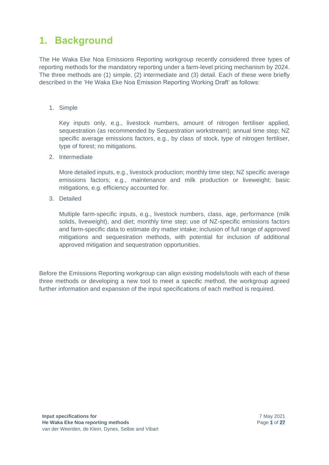# <span id="page-4-0"></span>**1. Background**

The He Waka Eke Noa Emissions Reporting workgroup recently considered three types of reporting methods for the mandatory reporting under a farm-level pricing mechanism by 2024. The three methods are (1) simple, (2) intermediate and (3) detail. Each of these were briefly described in the 'He Waka Eke Noa Emission Reporting Working Draft' as follows:

1. Simple

Key inputs only, e.g., livestock numbers, amount of nitrogen fertiliser applied, sequestration (as recommended by Sequestration workstream); annual time step; NZ specific average emissions factors, e.g., by class of stock, type of nitrogen fertiliser, type of forest; no mitigations.

2. Intermediate

More detailed inputs, e.g., livestock production; monthly time step; NZ specific average emissions factors; e.g., maintenance and milk production or liveweight; basic mitigations, e.g. efficiency accounted for.

3. Detailed

Multiple farm-specific inputs, e.g., livestock numbers, class, age, performance (milk solids, liveweight), and diet; monthly time step; use of NZ-specific emissions factors and farm-specific data to estimate dry matter intake; inclusion of full range of approved mitigations and sequestration methods, with potential for inclusion of additional approved mitigation and sequestration opportunities.

Before the Emissions Reporting workgroup can align existing models/tools with each of these three methods or developing a new tool to meet a specific method, the workgroup agreed further information and expansion of the input specifications of each method is required.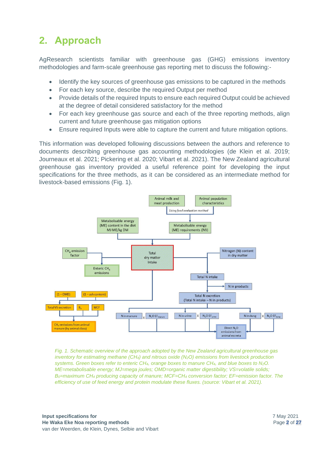# <span id="page-5-0"></span>**2. Approach**

AgResearch scientists familiar with greenhouse gas (GHG) emissions inventory methodologies and farm-scale greenhouse gas reporting met to discuss the following:-

- Identify the key sources of greenhouse gas emissions to be captured in the methods
- For each key source, describe the required Output per method
- Provide details of the required Inputs to ensure each required Output could be achieved at the degree of detail considered satisfactory for the method
- For each key greenhouse gas source and each of the three reporting methods, align current and future greenhouse gas mitigation options
- Ensure required Inputs were able to capture the current and future mitigation options.

This information was developed following discussions between the authors and reference to documents describing greenhouse gas accounting methodologies (de Klein et al. 2019; Journeaux et al. 2021; Pickering et al. 2020; Vibart et al. 2021). The New Zealand agricultural greenhouse gas inventory provided a useful reference point for developing the input specifications for the three methods, as it can be considered as an intermediate method for livestock-based emissions (Fig. 1).



*Fig. 1. Schematic overview of the approach adopted by the New Zealand agricultural greenhouse gas inventory for estimating methane (CH4) and nitrous oxide (N2O) emissions from livestock production systems. Green boxes refer to enteric CH4, orange boxes to manure CH4, and blue boxes to N2O. ME=metabolisable energy; MJ=mega joules; OMD=organic matter digestibility; VS=volatile solids; B0=maximum CH<sup>4</sup> producing capacity of manure; MCF=CH<sup>4</sup> conversion factor; EF=emission factor. The efficiency of use of feed energy and protein modulate these fluxes. (source: Vibart et al. 2021).*

**Input specifications for He Waka Eke Noa reporting methods** van der Weerden, de Klein, Dynes, Selbie and Vibart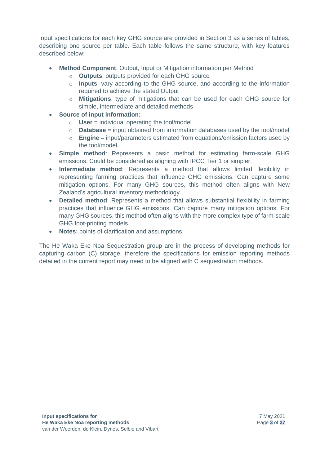Input specifications for each key GHG source are provided in Section 3 as a series of tables, describing one source per table. Each table follows the same structure, with key features described below:

- **Method Component**: Output, Input or Mitigation information per Method
	- o **Outputs**: outputs provided for each GHG source
	- o **Inputs**: vary according to the GHG source, and according to the information required to achieve the stated Output
	- o **Mitigations**: type of mitigations that can be used for each GHG source for simple, intermediate and detailed methods
- **Source of input information:**
	- o **User** = individual operating the tool/model
	- o **Database** = input obtained from information databases used by the tool/model
	- o **Engine** = input/parameters estimated from equations/emission factors used by the tool/model.
- **Simple method**: Represents a basic method for estimating farm-scale GHG emissions. Could be considered as aligning with IPCC Tier 1 or simpler.
- **Intermediate method**: Represents a method that allows limited flexibility in representing farming practices that influence GHG emissions. Can capture some mitigation options. For many GHG sources, this method often aligns with New Zealand's agricultural inventory methodology.
- **Detailed method**: Represents a method that allows substantial flexibility in farming practices that influence GHG emissions. Can capture many mitigation options. For many GHG sources, this method often aligns with the more complex type of farm-scale GHG foot-printing models.
- **Notes**: points of clarification and assumptions

The He Waka Eke Noa Sequestration group are in the process of developing methods for capturing carbon (C) storage, therefore the specifications for emission reporting methods detailed in the current report may need to be aligned with C sequestration methods.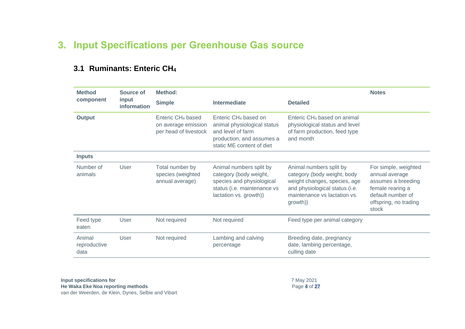## **3. Input Specifications per Greenhouse Gas source**

<span id="page-7-0"></span>

| <b>Method</b>                  | <b>Source of</b>            | <b>Method:</b>                                                                |                                                                                                                                                |                                                                                                                                                                      | <b>Notes</b>                                                                                                                            |
|--------------------------------|-----------------------------|-------------------------------------------------------------------------------|------------------------------------------------------------------------------------------------------------------------------------------------|----------------------------------------------------------------------------------------------------------------------------------------------------------------------|-----------------------------------------------------------------------------------------------------------------------------------------|
| component                      | input<br><b>information</b> | <b>Simple</b>                                                                 | Intermediate                                                                                                                                   | <b>Detailed</b>                                                                                                                                                      |                                                                                                                                         |
| <b>Output</b>                  |                             | Enteric CH <sub>4</sub> based<br>on average emission<br>per head of livestock | Enteric CH <sub>4</sub> based on<br>animal physiological status<br>and level of farm<br>production, and assumes a<br>static ME content of diet | Enteric CH <sub>4</sub> based on animal<br>physiological status and level<br>of farm production, feed type<br>and month                                              |                                                                                                                                         |
| <b>Inputs</b>                  |                             |                                                                               |                                                                                                                                                |                                                                                                                                                                      |                                                                                                                                         |
| Number of<br>animals           | User                        | Total number by<br>species (weighted<br>annual average)                       | Animal numbers split by<br>category (body weight,<br>species and physiological<br>status (i.e. maintenance vs<br>lactation vs. growth))        | Animal numbers split by<br>category (body weight, body<br>weight changes, species, age<br>and physiological status (i.e.<br>maintenance vs lactation vs.<br>growth)) | For simple, weighted<br>annual average<br>assumes a breeding<br>female rearing a<br>default number of<br>offspring, no trading<br>stock |
| Feed type<br>eaten             | User                        | Not required                                                                  | Not required                                                                                                                                   | Feed type per animal category                                                                                                                                        |                                                                                                                                         |
| Animal<br>reproductive<br>data | User                        | Not required                                                                  | Lambing and calving<br>percentage                                                                                                              | Breeding date, pregnancy<br>date, lambing percentage,<br>culling date                                                                                                |                                                                                                                                         |

#### **3.1 Ruminants: Enteric CH<sup>4</sup>**

<span id="page-7-1"></span>**Input specifications for He Waka Eke Noa reporting methods** van der Weerden, de Klein, Dynes, Selbie and Vibart 7 May 2021 Page **4** of **27**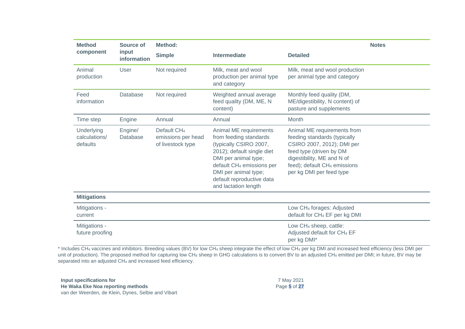| <b>Method</b>                           | <b>Source of</b>     | Method:                                                            |                                                                                                                                                                                                                                                        |                                                                                                                                                                                                                            | <b>Notes</b> |
|-----------------------------------------|----------------------|--------------------------------------------------------------------|--------------------------------------------------------------------------------------------------------------------------------------------------------------------------------------------------------------------------------------------------------|----------------------------------------------------------------------------------------------------------------------------------------------------------------------------------------------------------------------------|--------------|
| component                               | input<br>information | <b>Simple</b>                                                      | <b>Intermediate</b>                                                                                                                                                                                                                                    | <b>Detailed</b>                                                                                                                                                                                                            |              |
| Animal<br>production                    | User                 | Not required                                                       | Milk, meat and wool<br>production per animal type<br>and category                                                                                                                                                                                      | Milk, meat and wool production<br>per animal type and category                                                                                                                                                             |              |
| Feed<br>information                     | Database             | Not required                                                       | Weighted annual average<br>feed quality (DM, ME, N<br>content)                                                                                                                                                                                         | Monthly feed quality (DM,<br>ME/digestibility, N content) of<br>pasture and supplements                                                                                                                                    |              |
| Time step                               | Engine               | Annual                                                             | Annual                                                                                                                                                                                                                                                 | Month                                                                                                                                                                                                                      |              |
| Underlying<br>calculations/<br>defaults | Engine/<br>Database  | Default CH <sub>4</sub><br>emissions per head<br>of livestock type | Animal ME requirements<br>from feeding standards<br>(typically CSIRO 2007,<br>2012); default single diet<br>DMI per animal type;<br>default CH <sub>4</sub> emissions per<br>DMI per animal type;<br>default reproductive data<br>and lactation length | Animal ME requirements from<br>feeding standards (typically<br>CSIRO 2007, 2012); DMI per<br>feed type (driven by DM<br>digestibility, ME and N of<br>feed); default CH <sub>4</sub> emissions<br>per kg DMI per feed type |              |
| <b>Mitigations</b>                      |                      |                                                                    |                                                                                                                                                                                                                                                        |                                                                                                                                                                                                                            |              |
| Mitigations -<br>current                |                      |                                                                    |                                                                                                                                                                                                                                                        | Low CH <sub>4</sub> forages: Adjusted<br>default for CH <sub>4</sub> EF per kg DMI                                                                                                                                         |              |
| Mitigations -<br>future proofing        |                      |                                                                    |                                                                                                                                                                                                                                                        | Low CH <sub>4</sub> sheep, cattle:<br>Adjusted default for CH <sub>4</sub> EF<br>per kg DMI*                                                                                                                               |              |

\* Includes CH<sup>4</sup> vaccines and inhibitors. Breeding values (BV) for low CH<sup>4</sup> sheep integrate the effect of low CH<sup>4</sup> per kg DMI and increased feed efficiency (less DMI per unit of production). The proposed method for capturing low CH<sub>4</sub> sheep in GHG calculations is to convert BV to an adjusted CH<sub>4</sub> emitted per DMI; in future, BV may be separated into an adjusted CH<sub>4</sub> and increased feed efficiency.

| Input specifications for                            | 7 May 2021   |
|-----------------------------------------------------|--------------|
| He Waka Eke Noa reporting methods                   | Page 5 of 27 |
| van der Weerden, de Klein, Dynes, Selbie and Vibart |              |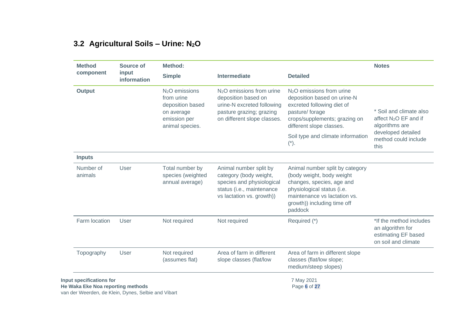## **3.2 Agricultural Soils – Urine: N2O**

<span id="page-9-0"></span>

| <b>Method</b>                                                 | Source of                                           | Method:                                                                                                       |                                                                                                                                            |                                                                                                                                                                                                   | <b>Notes</b>                                                                              |
|---------------------------------------------------------------|-----------------------------------------------------|---------------------------------------------------------------------------------------------------------------|--------------------------------------------------------------------------------------------------------------------------------------------|---------------------------------------------------------------------------------------------------------------------------------------------------------------------------------------------------|-------------------------------------------------------------------------------------------|
| component                                                     | input<br>information                                | <b>Simple</b>                                                                                                 | Intermediate                                                                                                                               | <b>Detailed</b>                                                                                                                                                                                   |                                                                                           |
| <b>Output</b>                                                 |                                                     | N <sub>2</sub> O emissions<br>from urine<br>deposition based<br>on average<br>emission per<br>animal species. | $N2O$ emissions from urine<br>deposition based on<br>urine-N excreted following<br>pasture grazing; grazing<br>on different slope classes. | N <sub>2</sub> O emissions from urine<br>deposition based on urine-N<br>excreted following diet of<br>pasture/forage<br>crops/supplements; grazing on<br>different slope classes.                 | * Soil and climate also<br>affect N <sub>2</sub> O EF and if<br>algorithms are            |
|                                                               |                                                     |                                                                                                               |                                                                                                                                            | Soil type and climate information<br>$(*)$ .                                                                                                                                                      | developed detailed<br>method could include<br>this                                        |
| <b>Inputs</b>                                                 |                                                     |                                                                                                               |                                                                                                                                            |                                                                                                                                                                                                   |                                                                                           |
| Number of<br>animals                                          | User                                                | Total number by<br>species (weighted<br>annual average)                                                       | Animal number split by<br>category (body weight,<br>species and physiological<br>status (i.e., maintenance<br>vs lactation vs. growth))    | Animal number split by category<br>(body weight, body weight<br>changes, species, age and<br>physiological status (i.e.<br>maintenance vs lactation vs.<br>growth)) including time off<br>paddock |                                                                                           |
| Farm location                                                 | User                                                | Not required                                                                                                  | Not required                                                                                                                               | Required (*)                                                                                                                                                                                      | *If the method includes<br>an algorithm for<br>estimating EF based<br>on soil and climate |
| Topography                                                    | User                                                | Not required<br>(assumes flat)                                                                                | Area of farm in different<br>slope classes (flat/low                                                                                       | Area of farm in different slope<br>classes (flat/low slope;<br>medium/steep slopes)                                                                                                               |                                                                                           |
| Input specifications for<br>He Waka Eke Noa reporting methods | van der Weerden, de Klein, Dynes, Selbie and Vibart |                                                                                                               |                                                                                                                                            | 7 May 2021<br>Page 6 of 27                                                                                                                                                                        |                                                                                           |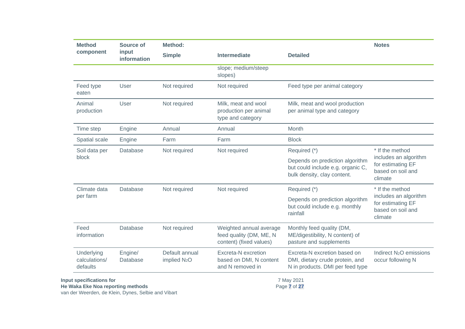| <b>Method</b>                           | Source of            | <b>Method:</b>                             |                                                                               |                                                                                                     | <b>Notes</b>                                                               |
|-----------------------------------------|----------------------|--------------------------------------------|-------------------------------------------------------------------------------|-----------------------------------------------------------------------------------------------------|----------------------------------------------------------------------------|
| component                               | input<br>information | <b>Simple</b>                              | <b>Intermediate</b>                                                           | <b>Detailed</b>                                                                                     |                                                                            |
|                                         |                      |                                            | slope; medium/steep<br>slopes)                                                |                                                                                                     |                                                                            |
| Feed type<br>eaten                      | User                 | Not required                               | Not required                                                                  | Feed type per animal category                                                                       |                                                                            |
| Animal<br>production                    | User                 | Not required                               | Milk, meat and wool<br>production per animal<br>type and category             | Milk, meat and wool production<br>per animal type and category                                      |                                                                            |
| Time step                               | Engine               | Annual                                     | Annual                                                                        | Month                                                                                               |                                                                            |
| Spatial scale                           | Engine               | Farm                                       | Farm                                                                          | <b>Block</b>                                                                                        |                                                                            |
| Soil data per                           | Database             | Not required                               | Not required                                                                  | Required (*)                                                                                        | * If the method                                                            |
| block                                   |                      |                                            |                                                                               | Depends on prediction algorithm<br>but could include e.g. organic C,<br>bulk density, clay content. | includes an algorithm<br>for estimating EF<br>based on soil and<br>climate |
| Climate data                            | Database             | Not required                               | Not required                                                                  | Required (*)                                                                                        | * If the method                                                            |
| per farm                                |                      |                                            |                                                                               | Depends on prediction algorithm<br>but could include e.g. monthly<br>rainfall                       | includes an algorithm<br>for estimating EF<br>based on soil and<br>climate |
| Feed<br>information                     | Database             | Not required                               | Weighted annual average<br>feed quality (DM, ME, N<br>content) (fixed values) | Monthly feed quality (DM,<br>ME/digestibility, N content) of<br>pasture and supplements             |                                                                            |
| Underlying<br>calculations/<br>defaults | Engine/<br>Database  | Default annual<br>implied N <sub>2</sub> O | Excreta-N excretion<br>based on DMI, N content<br>and N removed in            | Excreta-N excretion based on<br>DMI, dietary crude protein, and<br>N in products. DMI per feed type | Indirect N <sub>2</sub> O emissions<br>occur following N                   |
|                                         |                      |                                            |                                                                               |                                                                                                     |                                                                            |

**Input specifications for He Waka Eke Noa reporting methods** van der Weerden, de Klein, Dynes, Selbie and Vibart

7 May 2021 Page **7** of **27**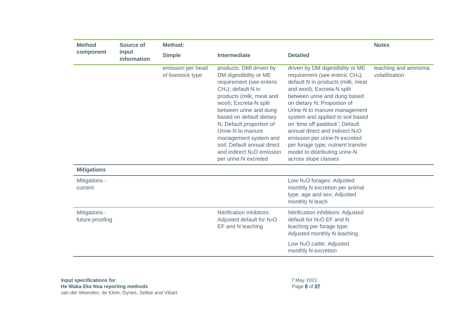| <b>Method</b>                    | Source of            | <b>Method:</b>                         |                                                                                                                                                                                                                                                                                                                                                                                                         |                                                                                                                                                                                                                                                                                                                                                                                                                                                                                                        |                                        |
|----------------------------------|----------------------|----------------------------------------|---------------------------------------------------------------------------------------------------------------------------------------------------------------------------------------------------------------------------------------------------------------------------------------------------------------------------------------------------------------------------------------------------------|--------------------------------------------------------------------------------------------------------------------------------------------------------------------------------------------------------------------------------------------------------------------------------------------------------------------------------------------------------------------------------------------------------------------------------------------------------------------------------------------------------|----------------------------------------|
| component                        | input<br>information | <b>Simple</b>                          | <b>Intermediate</b>                                                                                                                                                                                                                                                                                                                                                                                     | <b>Detailed</b>                                                                                                                                                                                                                                                                                                                                                                                                                                                                                        |                                        |
|                                  |                      | emission per head<br>of livestock type | products. DMI driven by<br>DM digestibility or ME<br>requirement (see enteric<br>CH <sub>4</sub> ); default N in<br>products (milk, meat and<br>wool); Excreta-N split<br>between urine and dung<br>based on default dietary<br>N; Default proportion of<br>Urine-N to manure<br>management system and<br>soil; Default annual direct<br>and indirect N <sub>2</sub> O emission<br>per urine-N excreted | driven by DM digestibility or ME<br>requirement (see enteric CH <sub>4</sub> );<br>default N in products (milk, meat<br>and wool); Excreta-N split<br>between urine and dung based<br>on dietary N; Proportion of<br>Urine-N to manure management<br>system and applied to soil based<br>on 'time off paddock'; Default<br>annual direct and indirect N <sub>2</sub> O<br>emission per urine-N excreted<br>per forage type; nutrient transfer<br>model to distributing urine-N<br>across slope classes | leaching and ammonia<br>volatilisation |
| <b>Mitigations</b>               |                      |                                        |                                                                                                                                                                                                                                                                                                                                                                                                         |                                                                                                                                                                                                                                                                                                                                                                                                                                                                                                        |                                        |
| Mitigations -<br>current         |                      |                                        |                                                                                                                                                                                                                                                                                                                                                                                                         | Low N <sub>2</sub> O forages: Adjusted<br>monthly N excretion per animal<br>type, age and sex; Adjusted<br>monthly N leach                                                                                                                                                                                                                                                                                                                                                                             |                                        |
| Mitigations -<br>future proofing |                      |                                        | Nitrification inhibitors:<br>Adjusted default for N <sub>2</sub> O<br>EF and N leaching                                                                                                                                                                                                                                                                                                                 | Nitrification inhibitors: Adjusted<br>default for N <sub>2</sub> O EF and N<br>leaching per forage type:<br>Adjusted monthly N leaching.<br>Low N <sub>2</sub> O cattle: Adjusted<br>monthly N excretion                                                                                                                                                                                                                                                                                               |                                        |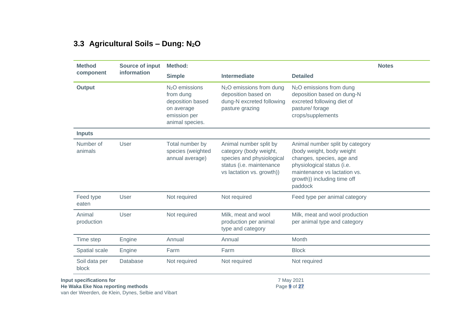## **3.3 Agricultural Soils – Dung: N2O**

| <b>Method</b>          | Source of input | Method:                                                                                           |                                                                                                                                        |                                                                                                                                                                                                   | <b>Notes</b> |
|------------------------|-----------------|---------------------------------------------------------------------------------------------------|----------------------------------------------------------------------------------------------------------------------------------------|---------------------------------------------------------------------------------------------------------------------------------------------------------------------------------------------------|--------------|
| component              | information     | <b>Simple</b>                                                                                     | <b>Intermediate</b>                                                                                                                    | <b>Detailed</b>                                                                                                                                                                                   |              |
| <b>Output</b>          |                 | $N2O$ emissions<br>from dung<br>deposition based<br>on average<br>emission per<br>animal species. | N <sub>2</sub> O emissions from dung<br>deposition based on<br>dung-N excreted following<br>pasture grazing                            | N <sub>2</sub> O emissions from dung<br>deposition based on dung-N<br>excreted following diet of<br>pasture/forage<br>crops/supplements                                                           |              |
| <b>Inputs</b>          |                 |                                                                                                   |                                                                                                                                        |                                                                                                                                                                                                   |              |
| Number of<br>animals   | User            | Total number by<br>species (weighted<br>annual average)                                           | Animal number split by<br>category (body weight,<br>species and physiological<br>status (i.e. maintenance<br>vs lactation vs. growth)) | Animal number split by category<br>(body weight, body weight<br>changes, species, age and<br>physiological status (i.e.<br>maintenance vs lactation vs.<br>growth)) including time off<br>paddock |              |
| Feed type<br>eaten     | User            | Not required                                                                                      | Not required                                                                                                                           | Feed type per animal category                                                                                                                                                                     |              |
| Animal<br>production   | User            | Not required                                                                                      | Milk, meat and wool<br>production per animal<br>type and category                                                                      | Milk, meat and wool production<br>per animal type and category                                                                                                                                    |              |
| Time step              | Engine          | Annual                                                                                            | Annual                                                                                                                                 | Month                                                                                                                                                                                             |              |
| Spatial scale          | Engine          | Farm                                                                                              | Farm                                                                                                                                   | <b>Block</b>                                                                                                                                                                                      |              |
| Soil data per<br>block | Database        | Not required                                                                                      | Not required                                                                                                                           | Not required                                                                                                                                                                                      |              |

<span id="page-12-0"></span>**He Waka Eke Noa reporting methods**

Page **9** of **27**

van der Weerden, de Klein, Dynes, Selbie and Vibart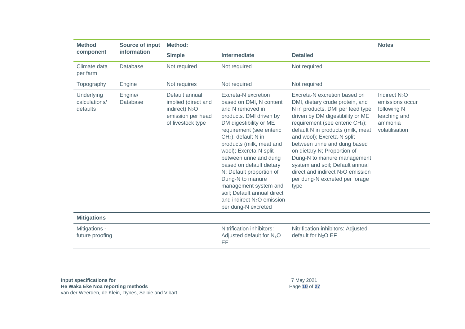| <b>Method</b>                           | Source of input     | Method:                                                                                                       |                                                                                                                                                                                                                                                                                                                                                                                                                                                                             |                                                                                                                                                                                                                                                                                                                                                                                                                                                                                       | <b>Notes</b>                                                                                   |
|-----------------------------------------|---------------------|---------------------------------------------------------------------------------------------------------------|-----------------------------------------------------------------------------------------------------------------------------------------------------------------------------------------------------------------------------------------------------------------------------------------------------------------------------------------------------------------------------------------------------------------------------------------------------------------------------|---------------------------------------------------------------------------------------------------------------------------------------------------------------------------------------------------------------------------------------------------------------------------------------------------------------------------------------------------------------------------------------------------------------------------------------------------------------------------------------|------------------------------------------------------------------------------------------------|
| component                               | information         | <b>Simple</b>                                                                                                 | <b>Intermediate</b>                                                                                                                                                                                                                                                                                                                                                                                                                                                         | <b>Detailed</b>                                                                                                                                                                                                                                                                                                                                                                                                                                                                       |                                                                                                |
| Climate data<br>per farm                | Database            | Not required                                                                                                  | Not required                                                                                                                                                                                                                                                                                                                                                                                                                                                                | Not required                                                                                                                                                                                                                                                                                                                                                                                                                                                                          |                                                                                                |
| Topography                              | Engine              | Not requires                                                                                                  | Not required                                                                                                                                                                                                                                                                                                                                                                                                                                                                | Not required                                                                                                                                                                                                                                                                                                                                                                                                                                                                          |                                                                                                |
| Underlying<br>calculations/<br>defaults | Engine/<br>Database | Default annual<br>implied (direct and<br>indirect) N <sub>2</sub> O<br>emission per head<br>of livestock type | Excreta-N excretion<br>based on DMI, N content<br>and N removed in<br>products. DMI driven by<br>DM digestibility or ME<br>requirement (see enteric<br>CH <sub>4</sub> ); default N in<br>products (milk, meat and<br>wool); Excreta-N split<br>between urine and dung<br>based on default dietary<br>N; Default proportion of<br>Dung-N to manure<br>management system and<br>soil; Default annual direct<br>and indirect N <sub>2</sub> O emission<br>per dung-N excreted | Excreta-N excretion based on<br>DMI, dietary crude protein, and<br>N in products. DMI per feed type<br>driven by DM digestibility or ME<br>requirement (see enteric CH <sub>4</sub> );<br>default N in products (milk, meat<br>and wool); Excreta-N split<br>between urine and dung based<br>on dietary N; Proportion of<br>Dung-N to manure management<br>system and soil; Default annual<br>direct and indirect N <sub>2</sub> O emission<br>per dung-N excreted per forage<br>type | Indirect $N_2O$<br>emissions occur<br>following N<br>leaching and<br>ammonia<br>volatilisation |
| <b>Mitigations</b>                      |                     |                                                                                                               |                                                                                                                                                                                                                                                                                                                                                                                                                                                                             |                                                                                                                                                                                                                                                                                                                                                                                                                                                                                       |                                                                                                |
| Mitigations -<br>future proofing        |                     |                                                                                                               | Nitrification inhibitors:<br>Adjusted default for N <sub>2</sub> O<br>EF                                                                                                                                                                                                                                                                                                                                                                                                    | Nitrification inhibitors: Adjusted<br>default for N <sub>2</sub> O EF                                                                                                                                                                                                                                                                                                                                                                                                                 |                                                                                                |

**Input specifications for He Waka Eke Noa reporting methods** van der Weerden, de Klein, Dynes, Selbie and Vibart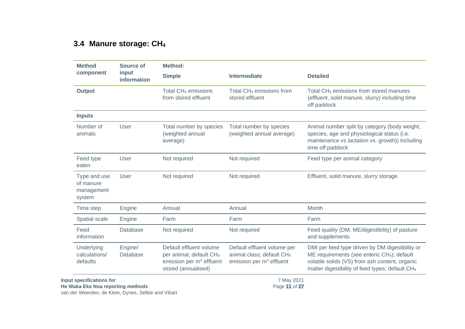#### **3.4 Manure storage: CH<sup>4</sup>**

| <b>Method</b>                                     | Source of            | <b>Method:</b>                                                                                                                |                                                                                                    |                                                                                                                                                                                                                             |
|---------------------------------------------------|----------------------|-------------------------------------------------------------------------------------------------------------------------------|----------------------------------------------------------------------------------------------------|-----------------------------------------------------------------------------------------------------------------------------------------------------------------------------------------------------------------------------|
| component                                         | input<br>information | <b>Simple</b>                                                                                                                 | <b>Intermediate</b>                                                                                | <b>Detailed</b>                                                                                                                                                                                                             |
| <b>Output</b>                                     |                      | Total CH <sub>4</sub> emissions<br>from stored effluent                                                                       | Total CH <sub>4</sub> emissions from<br>stored effluent                                            | Total CH <sub>4</sub> emissions from stored manures<br>(effluent, solid manure, slurry) including time<br>off paddock                                                                                                       |
| <b>Inputs</b>                                     |                      |                                                                                                                               |                                                                                                    |                                                                                                                                                                                                                             |
| Number of<br>animals                              | User                 | Total number by species<br>(weighted annual<br>average)                                                                       | Total number by species<br>(weighted annual average)                                               | Animal number split by category (body weight,<br>species, age and physiological status (i.e.<br>maintenance vs lactation vs. growth)) including<br>time off paddock                                                         |
| Feed type<br>eaten                                | User                 | Not required                                                                                                                  | Not required                                                                                       | Feed type per animal category                                                                                                                                                                                               |
| Type and use<br>of manure<br>management<br>system | User                 | Not required                                                                                                                  | Not required                                                                                       | Effluent, solid manure, slurry storage                                                                                                                                                                                      |
| Time step                                         | Engine               | Annual                                                                                                                        | Annual                                                                                             | Month                                                                                                                                                                                                                       |
| Spatial scale                                     | Engine               | Farm                                                                                                                          | Farm                                                                                               | Farm                                                                                                                                                                                                                        |
| Feed<br>information                               | Database             | Not required                                                                                                                  | Not required                                                                                       | Feed quality (DM, ME/digestibility) of pasture<br>and supplements                                                                                                                                                           |
| Underlying<br>calculations/<br>defaults           | Engine/<br>Database  | Default effluent volume<br>per animal; default CH <sub>4</sub><br>emission per m <sup>3</sup> effluent<br>stored (annualised) | Default effluent volume per<br>animal class; default CH <sub>4</sub><br>emission per $m3$ effluent | DMI per feed type driven by DM digestibility or<br>ME requirements (see enteric CH <sub>4</sub> ); default<br>volatile solids (VS) from ash content, organic<br>matter digestibility of feed types; default CH <sub>4</sub> |
| Input specifications for                          |                      |                                                                                                                               | 7 May 2021                                                                                         |                                                                                                                                                                                                                             |

<span id="page-14-0"></span>**He Waka Eke Noa reporting methods**

van der Weerden, de Klein, Dynes, Selbie and Vibart

Page **11** of **27**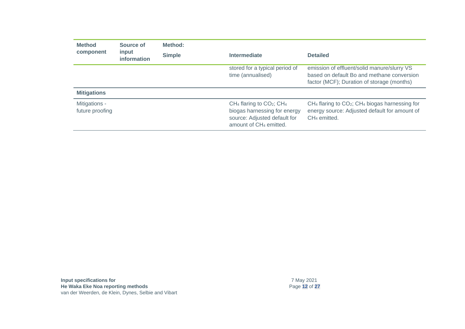| <b>Method</b>                    | Source of<br>input<br>information | Method:       |                                                                                                                                         |                                                                                                                                         |  |
|----------------------------------|-----------------------------------|---------------|-----------------------------------------------------------------------------------------------------------------------------------------|-----------------------------------------------------------------------------------------------------------------------------------------|--|
| component                        |                                   | <b>Simple</b> | Intermediate                                                                                                                            | <b>Detailed</b>                                                                                                                         |  |
|                                  |                                   |               | stored for a typical period of<br>time (annualised)                                                                                     | emission of effluent/solid manure/slurry VS<br>based on default Bo and methane conversion<br>factor (MCF); Duration of storage (months) |  |
| <b>Mitigations</b>               |                                   |               |                                                                                                                                         |                                                                                                                                         |  |
| Mitigations -<br>future proofing |                                   |               | $CH_4$ flaring to $CO_2$ ; $CH_4$<br>biogas harnessing for energy<br>source: Adjusted default for<br>amount of CH <sub>4</sub> emitted. | $CH4$ flaring to $CO2$ ; CH <sub>4</sub> biogas harnessing for<br>energy source: Adjusted default for amount of<br>$CH4$ emitted.       |  |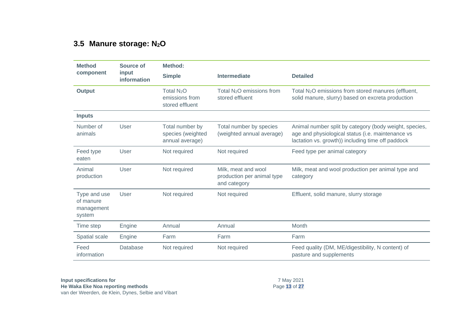#### **3.5 Manure storage: N2O**

<span id="page-16-0"></span>

| <b>Method</b>                                     | Source of            | Method:                                                     |                                                                   |                                                                                                                                                                  |  |  |
|---------------------------------------------------|----------------------|-------------------------------------------------------------|-------------------------------------------------------------------|------------------------------------------------------------------------------------------------------------------------------------------------------------------|--|--|
| component                                         | input<br>information | <b>Simple</b>                                               | <b>Intermediate</b>                                               | <b>Detailed</b>                                                                                                                                                  |  |  |
| <b>Output</b>                                     |                      | Total N <sub>2</sub> O<br>emissions from<br>stored effluent | Total N <sub>2</sub> O emissions from<br>stored effluent          | Total N <sub>2</sub> O emissions from stored manures (effluent,<br>solid manure, slurry) based on excreta production                                             |  |  |
| <b>Inputs</b>                                     |                      |                                                             |                                                                   |                                                                                                                                                                  |  |  |
| Number of<br>animals                              | User                 | Total number by<br>species (weighted<br>annual average)     | Total number by species<br>(weighted annual average)              | Animal number split by category (body weight, species,<br>age and physiological status (i.e. maintenance vs<br>lactation vs. growth)) including time off paddock |  |  |
| Feed type<br>eaten                                | User                 | Not required                                                | Not required                                                      | Feed type per animal category                                                                                                                                    |  |  |
| Animal<br>production                              | User                 | Not required                                                | Milk, meat and wool<br>production per animal type<br>and category | Milk, meat and wool production per animal type and<br>category                                                                                                   |  |  |
| Type and use<br>of manure<br>management<br>system | User                 | Not required                                                | Not required                                                      | Effluent, solid manure, slurry storage                                                                                                                           |  |  |
| Time step                                         | Engine               | Annual                                                      | Annual                                                            | Month                                                                                                                                                            |  |  |
| Spatial scale                                     | Engine               | Farm                                                        | Farm                                                              | Farm                                                                                                                                                             |  |  |
| Feed<br>information                               | Database             | Not required                                                | Not required                                                      | Feed quality (DM, ME/digestibility, N content) of<br>pasture and supplements                                                                                     |  |  |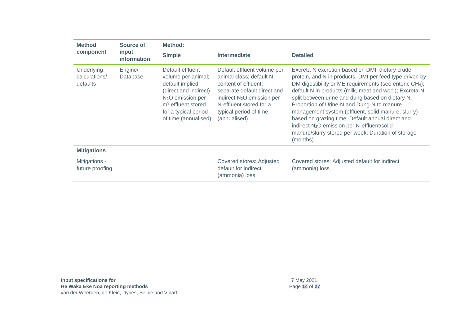| <b>Method</b>                           | Source of<br>input<br>information | Method:                                                                                                                                                                                     |                                                                                                                                                                                                                              |                                                                                                                                                                                                                                                                                                                                                                                                                                                                                                                                                                                       |
|-----------------------------------------|-----------------------------------|---------------------------------------------------------------------------------------------------------------------------------------------------------------------------------------------|------------------------------------------------------------------------------------------------------------------------------------------------------------------------------------------------------------------------------|---------------------------------------------------------------------------------------------------------------------------------------------------------------------------------------------------------------------------------------------------------------------------------------------------------------------------------------------------------------------------------------------------------------------------------------------------------------------------------------------------------------------------------------------------------------------------------------|
| component                               |                                   | <b>Simple</b>                                                                                                                                                                               | Intermediate                                                                                                                                                                                                                 | <b>Detailed</b>                                                                                                                                                                                                                                                                                                                                                                                                                                                                                                                                                                       |
| Underlying<br>calculations/<br>defaults | Engine/<br>Database               | Default effluent<br>volume per animal;<br>default implied<br>(direct and indirect)<br>N <sub>2</sub> O emission per<br>$m3$ effluent stored<br>for a typical period<br>of time (annualised) | Default effluent volume per<br>animal class; default N<br>content of effluent;<br>separate default direct and<br>indirect N <sub>2</sub> O emission per<br>N-effluent stored for a<br>typical period of time<br>(annualised) | Excreta-N excretion based on DMI, dietary crude<br>protein, and N in products. DMI per feed type driven by<br>DM digestibility or ME requirements (see enteric CH <sub>4</sub> );<br>default N in products (milk, meat and wool); Excreta-N<br>split between urine and dung based on dietary N;<br>Proportion of Urine-N and Dung-N to manure<br>management system (effluent, solid manure, slurry)<br>based on grazing time; Default annual direct and<br>indirect N <sub>2</sub> O emission per N-effluent/solid<br>manure/slurry stored per week; Duration of storage<br>(months). |
| <b>Mitigations</b>                      |                                   |                                                                                                                                                                                             |                                                                                                                                                                                                                              |                                                                                                                                                                                                                                                                                                                                                                                                                                                                                                                                                                                       |
| Mitigations -<br>future proofing        |                                   |                                                                                                                                                                                             | Covered stores: Adjusted<br>default for indirect<br>(ammonia) loss                                                                                                                                                           | Covered stores: Adjusted default for indirect<br>(ammonia) loss                                                                                                                                                                                                                                                                                                                                                                                                                                                                                                                       |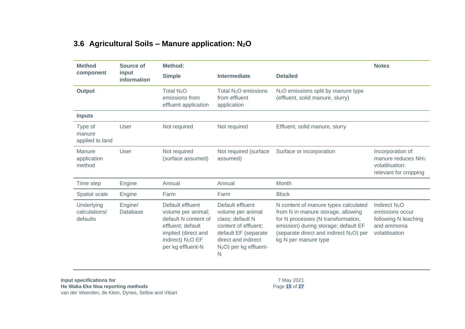#### **3.6 Agricultural Soils – Manure application: N2O**

| <b>Method</b>                           | Source of            | Method:                                                                                                                                                          |                                                                                                                                                                             |                                                                                                                                                                                                                                | <b>Notes</b>                                                                                   |
|-----------------------------------------|----------------------|------------------------------------------------------------------------------------------------------------------------------------------------------------------|-----------------------------------------------------------------------------------------------------------------------------------------------------------------------------|--------------------------------------------------------------------------------------------------------------------------------------------------------------------------------------------------------------------------------|------------------------------------------------------------------------------------------------|
| component                               | input<br>information | <b>Simple</b>                                                                                                                                                    | <b>Intermediate</b>                                                                                                                                                         | <b>Detailed</b>                                                                                                                                                                                                                |                                                                                                |
| <b>Output</b>                           |                      | Total N <sub>2</sub> O<br>emissions from<br>effluent application                                                                                                 | Total $N_2O$ emissions<br>from effluent<br>application                                                                                                                      | N <sub>2</sub> O emissions split by manure type<br>(effluent, solid manure, slurry)                                                                                                                                            |                                                                                                |
| <b>Inputs</b>                           |                      |                                                                                                                                                                  |                                                                                                                                                                             |                                                                                                                                                                                                                                |                                                                                                |
| Type of<br>manure<br>applied to land    | User                 | Not required                                                                                                                                                     | Not required                                                                                                                                                                | Effluent, solid manure, slurry                                                                                                                                                                                                 |                                                                                                |
| Manure<br>application<br>method         | User                 | Not required<br>(surface assumed)                                                                                                                                | Not required (surface<br>assumed)                                                                                                                                           | Surface or incorporation                                                                                                                                                                                                       | Incorporation of<br>manure reduces NH <sub>3</sub><br>volatilisation:<br>relevant for cropping |
| Time step                               | Engine               | Annual                                                                                                                                                           | Annual                                                                                                                                                                      | Month                                                                                                                                                                                                                          |                                                                                                |
| Spatial scale                           | Engine               | Farm                                                                                                                                                             | Farm                                                                                                                                                                        | <b>Block</b>                                                                                                                                                                                                                   |                                                                                                |
| Underlying<br>calculations/<br>defaults | Engine/<br>Database  | Default effluent<br>volume per animal;<br>default N content of<br>effluent; default<br>implied (direct and<br>indirect) N <sub>2</sub> O EF<br>per kg effluent-N | Default effluent<br>volume per animal<br>class; default N<br>content of effluent;<br>default EF (separate<br>direct and indirect<br>N <sub>2</sub> O) per kg effluent-<br>N | N content of manure types calculated<br>from N in manure storage, allowing<br>for N processes (N transformation,<br>emission) during storage; default EF<br>(separate direct and indirect $N_2O$ ) per<br>kg N per manure type | Indirect $N_2O$<br>emissions occur<br>following N leaching<br>and ammonia<br>volatilisation    |

<span id="page-18-0"></span>**Input specifications for He Waka Eke Noa reporting methods** van der Weerden, de Klein, Dynes, Selbie and Vibart

7 May 2021 Page **15** of **27**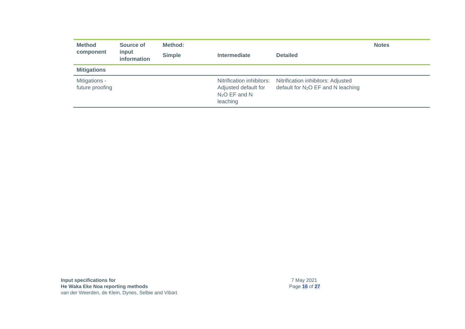| <b>Method</b><br>component       | Source of<br>input<br>information | Method:<br><b>Simple</b> | <b>Intermediate</b>                                                              | <b>Detailed</b>                                                                      | <b>Notes</b> |
|----------------------------------|-----------------------------------|--------------------------|----------------------------------------------------------------------------------|--------------------------------------------------------------------------------------|--------------|
| <b>Mitigations</b>               |                                   |                          |                                                                                  |                                                                                      |              |
| Mitigations -<br>future proofing |                                   |                          | Nitrification inhibitors:<br>Adjusted default for<br>$N_2O$ EF and N<br>leaching | Nitrification inhibitors: Adjusted<br>default for N <sub>2</sub> O EF and N leaching |              |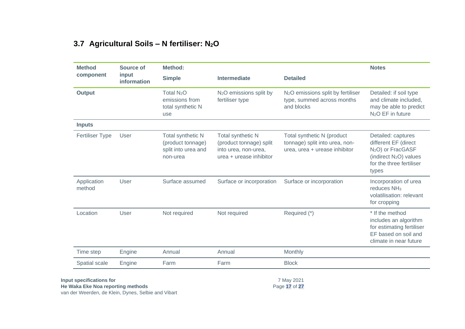## **3.7 Agricultural Soils – N fertiliser: N2O**

<span id="page-20-0"></span>

| <b>Method</b>         | Source of            | <b>Method:</b>                                                            |                                                                                                 |                                                                                               | <b>Notes</b>                                                                                                                                  |
|-----------------------|----------------------|---------------------------------------------------------------------------|-------------------------------------------------------------------------------------------------|-----------------------------------------------------------------------------------------------|-----------------------------------------------------------------------------------------------------------------------------------------------|
| component             | input<br>information | <b>Simple</b>                                                             | Intermediate                                                                                    | <b>Detailed</b>                                                                               |                                                                                                                                               |
| <b>Output</b>         |                      | Total N <sub>2</sub> O<br>emissions from<br>total synthetic N<br>use      | N <sub>2</sub> O emissions split by<br>fertiliser type                                          | N <sub>2</sub> O emissions split by fertiliser<br>type, summed across months<br>and blocks    | Detailed: if soil type<br>and climate included,<br>may be able to predict<br>$N2O$ EF in future                                               |
| <b>Inputs</b>         |                      |                                                                           |                                                                                                 |                                                                                               |                                                                                                                                               |
| Fertiliser Type       | User                 | Total synthetic N<br>(product tonnage)<br>split into urea and<br>non-urea | Total synthetic N<br>(product tonnage) split<br>into urea, non-urea,<br>urea + urease inhibitor | Total synthetic N (product<br>tonnage) split into urea, non-<br>urea, urea + urease inhibitor | Detailed: captures<br>different EF (direct<br>N <sub>2</sub> O) or FracGASF<br>(indirect $N_2O$ ) values<br>for the three fertiliser<br>types |
| Application<br>method | User                 | Surface assumed                                                           | Surface or incorporation                                                                        | Surface or incorporation                                                                      | Incorporation of urea<br>reduces NH <sub>3</sub><br>volatilisation: relevant<br>for cropping                                                  |
| Location              | User                 | Not required                                                              | Not required                                                                                    | Required (*)                                                                                  | * If the method<br>includes an algorithm<br>for estimating fertiliser<br>EF based on soil and<br>climate in near future                       |
| Time step             | Engine               | Annual                                                                    | Annual                                                                                          | Monthly                                                                                       |                                                                                                                                               |
|                       | Engine               | Farm                                                                      | Farm                                                                                            | <b>Block</b>                                                                                  |                                                                                                                                               |

van der Weerden, de Klein, Dynes, Selbie and Vibart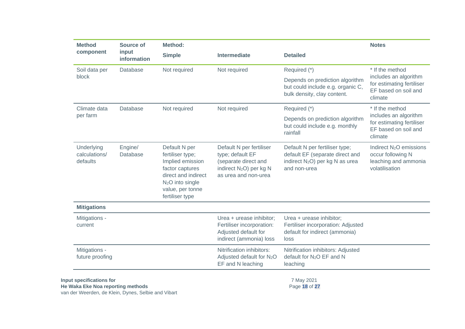| <b>Method</b>                           | Source of                  | Method:                                                                                                                                                                |                                                                                                                                     |                                                                                                                                  | <b>Notes</b>                                                                                       |  |
|-----------------------------------------|----------------------------|------------------------------------------------------------------------------------------------------------------------------------------------------------------------|-------------------------------------------------------------------------------------------------------------------------------------|----------------------------------------------------------------------------------------------------------------------------------|----------------------------------------------------------------------------------------------------|--|
| component                               | input<br>information       | <b>Simple</b>                                                                                                                                                          | <b>Intermediate</b>                                                                                                                 | <b>Detailed</b>                                                                                                                  |                                                                                                    |  |
| Soil data per                           | Database                   | Not required                                                                                                                                                           | Not required                                                                                                                        | Required (*)                                                                                                                     | * If the method                                                                                    |  |
| block                                   |                            |                                                                                                                                                                        |                                                                                                                                     | Depends on prediction algorithm<br>but could include e.g. organic C,<br>bulk density, clay content.                              | includes an algorithm<br>for estimating fertiliser<br>EF based on soil and<br>climate              |  |
| Climate data                            | <b>Database</b>            | Not required                                                                                                                                                           | Not required                                                                                                                        | Required (*)                                                                                                                     | * If the method                                                                                    |  |
|                                         | per farm                   |                                                                                                                                                                        |                                                                                                                                     | Depends on prediction algorithm<br>but could include e.g. monthly<br>rainfall                                                    | includes an algorithm<br>for estimating fertiliser<br>EF based on soil and<br>climate              |  |
| Underlying<br>calculations/<br>defaults | Engine/<br><b>Database</b> | Default N per<br>fertiliser type;<br>Implied emission<br>factor captures<br>direct and indirect<br>N <sub>2</sub> O into single<br>value, per tonne<br>fertiliser type | Default N per fertiliser<br>type; default EF<br>(separate direct and<br>indirect N <sub>2</sub> O) per kg N<br>as urea and non-urea | Default N per fertiliser type;<br>default EF (separate direct and<br>indirect N <sub>2</sub> O) per kg N as urea<br>and non-urea | Indirect N <sub>2</sub> O emissions<br>occur following N<br>leaching and ammonia<br>volatilisation |  |
| <b>Mitigations</b>                      |                            |                                                                                                                                                                        |                                                                                                                                     |                                                                                                                                  |                                                                                                    |  |
| Mitigations -<br>current                |                            |                                                                                                                                                                        | Urea + urease inhibitor;<br>Fertiliser incorporation:<br>Adjusted default for<br>indirect (ammonia) loss                            | Urea + urease inhibitor;<br>Fertiliser incorporation: Adjusted<br>default for indirect (ammonia)<br>loss                         |                                                                                                    |  |
| Mitigations -<br>future proofing        |                            |                                                                                                                                                                        | Nitrification inhibitors:<br>Adjusted default for N <sub>2</sub> O<br>EF and N leaching                                             | Nitrification inhibitors: Adjusted<br>default for N <sub>2</sub> O EF and N<br>leaching                                          |                                                                                                    |  |
| Input specifications for                |                            |                                                                                                                                                                        |                                                                                                                                     | 7 May 2021                                                                                                                       |                                                                                                    |  |

**He Waka Eke Noa reporting methods** van der Weerden, de Klein, Dynes, Selbie and Vibart Page **18** of **27**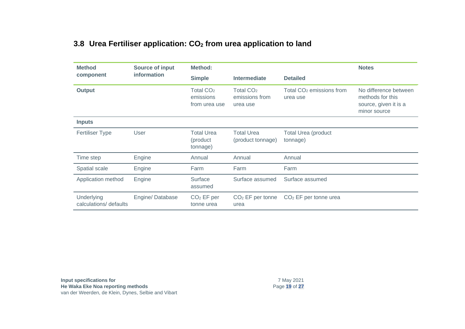#### **3.8 Urea Fertiliser application: CO<sup>2</sup> from urea application to land**

<span id="page-22-0"></span>

| <b>Method</b>                        | <b>Source of input</b> | Method:                                    |                                           |                                                  | <b>Notes</b>                                                                       |
|--------------------------------------|------------------------|--------------------------------------------|-------------------------------------------|--------------------------------------------------|------------------------------------------------------------------------------------|
| component                            | information            | <b>Simple</b>                              | Intermediate                              | <b>Detailed</b>                                  |                                                                                    |
| <b>Output</b>                        |                        | Total $CO2$<br>emissions<br>from urea use  | Total $CO2$<br>emissions from<br>urea use | Total CO <sub>2</sub> emissions from<br>urea use | No difference between<br>methods for this<br>source, given it is a<br>minor source |
| <b>Inputs</b>                        |                        |                                            |                                           |                                                  |                                                                                    |
| <b>Fertiliser Type</b>               | User                   | <b>Total Urea</b><br>(product)<br>tonnage) | <b>Total Urea</b><br>(product tonnage)    | <b>Total Urea (product</b><br>tonnage)           |                                                                                    |
| Time step                            | Engine                 | Annual                                     | Annual                                    | Annual                                           |                                                                                    |
| Spatial scale                        | Engine                 | Farm                                       | Farm                                      | Farm                                             |                                                                                    |
| Application method                   | Engine                 | Surface<br>assumed                         | Surface assumed                           | Surface assumed                                  |                                                                                    |
| Underlying<br>calculations/ defaults | Engine/Database        | $CO2$ EF per<br>tonne urea                 | $CO2$ EF per tonne<br>urea                | $CO2$ EF per tonne urea                          |                                                                                    |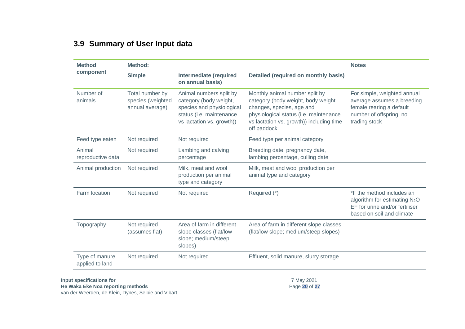#### **3.9 Summary of User Input data**

<span id="page-23-0"></span>

| <b>Method</b>                     | <b>Method:</b>                                                     |                                                                                                                                         |                                                                                                                                                                                                        | <b>Notes</b>                                                                                                                           |  |
|-----------------------------------|--------------------------------------------------------------------|-----------------------------------------------------------------------------------------------------------------------------------------|--------------------------------------------------------------------------------------------------------------------------------------------------------------------------------------------------------|----------------------------------------------------------------------------------------------------------------------------------------|--|
| component                         | <b>Simple</b><br><b>Intermediate (required</b><br>on annual basis) |                                                                                                                                         | <b>Detailed (required on monthly basis)</b>                                                                                                                                                            |                                                                                                                                        |  |
| Number of<br>animals              | Total number by<br>species (weighted<br>annual average)            | Animal numbers split by<br>category (body weight,<br>species and physiological<br>status (i.e. maintenance<br>vs lactation vs. growth)) | Monthly animal number split by<br>category (body weight, body weight<br>changes, species, age and<br>physiological status (i.e. maintenance<br>vs lactation vs. growth)) including time<br>off paddock | For simple, weighted annual<br>average assumes a breeding<br>female rearing a default<br>number of offspring, no<br>trading stock      |  |
| Feed type eaten                   | Not required                                                       | Not required                                                                                                                            | Feed type per animal category                                                                                                                                                                          |                                                                                                                                        |  |
| Animal<br>reproductive data       | Not required                                                       | Lambing and calving<br>percentage                                                                                                       | Breeding date, pregnancy date,<br>lambing percentage, culling date                                                                                                                                     |                                                                                                                                        |  |
| Animal production                 | Not required                                                       | Milk, meat and wool<br>production per animal<br>type and category                                                                       | Milk, meat and wool production per<br>animal type and category                                                                                                                                         |                                                                                                                                        |  |
| Farm location                     | Not required                                                       | Not required                                                                                                                            | Required (*)                                                                                                                                                                                           | *If the method includes an<br>algorithm for estimating N <sub>2</sub> O<br>EF for urine and/or fertiliser<br>based on soil and climate |  |
| Topography                        | Not required<br>(assumes flat)                                     | Area of farm in different<br>slope classes (flat/low<br>slope; medium/steep<br>slopes)                                                  | Area of farm in different slope classes<br>(flat/low slope; medium/steep slopes)                                                                                                                       |                                                                                                                                        |  |
| Type of manure<br>applied to land | Not required                                                       | Not required                                                                                                                            | Effluent, solid manure, slurry storage                                                                                                                                                                 |                                                                                                                                        |  |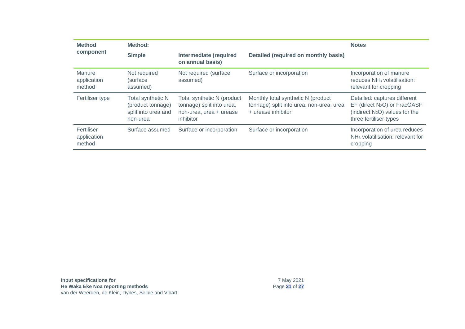| <b>Method</b>                       | Method:                                                                          |                                                                                                 |                                                                                                      | <b>Notes</b>                                                                                                                            |
|-------------------------------------|----------------------------------------------------------------------------------|-------------------------------------------------------------------------------------------------|------------------------------------------------------------------------------------------------------|-----------------------------------------------------------------------------------------------------------------------------------------|
| component                           | <b>Simple</b>                                                                    | <b>Intermediate (required</b><br>on annual basis)                                               | <b>Detailed (required on monthly basis)</b>                                                          |                                                                                                                                         |
| Manure<br>application<br>method     | Not required<br>(surface<br>assumed)                                             | Not required (surface<br>assumed)                                                               | Surface or incorporation                                                                             | Incorporation of manure<br>reduces NH <sub>3</sub> volatilisation:<br>relevant for cropping                                             |
| Fertiliser type                     | <b>Total synthetic N</b><br>(product tonnage)<br>split into urea and<br>non-urea | Total synthetic N (product<br>tonnage) split into urea,<br>non-urea, urea + urease<br>inhibitor | Monthly total synthetic N (product<br>tonnage) split into urea, non-urea, urea<br>+ urease inhibitor | Detailed: captures different<br>EF (direct N <sub>2</sub> O) or FracGASF<br>(indirect $N_2O$ ) values for the<br>three fertiliser types |
| Fertiliser<br>application<br>method | Surface assumed                                                                  | Surface or incorporation                                                                        | Surface or incorporation                                                                             | Incorporation of urea reduces<br>NH <sub>3</sub> volatilisation: relevant for<br>cropping                                               |

| Input specifications for                            |
|-----------------------------------------------------|
| He Waka Eke Noa reporting methods                   |
| van der Weerden, de Klein, Dynes, Selbie and Vibart |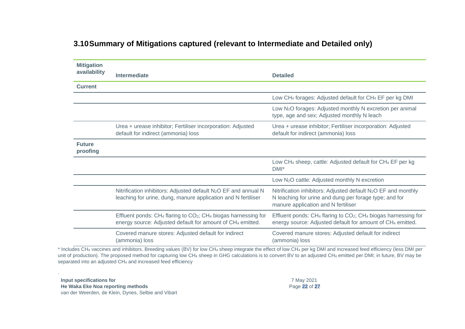|  | 3.10 Summary of Mitigations captured (relevant to Intermediate and Detailed only) |  |
|--|-----------------------------------------------------------------------------------|--|
|--|-----------------------------------------------------------------------------------|--|

| <b>Mitigation</b>         |                                                                                                                                                                  |                                                                                                                                                                             |
|---------------------------|------------------------------------------------------------------------------------------------------------------------------------------------------------------|-----------------------------------------------------------------------------------------------------------------------------------------------------------------------------|
| availability              | Intermediate                                                                                                                                                     | <b>Detailed</b>                                                                                                                                                             |
| <b>Current</b>            |                                                                                                                                                                  |                                                                                                                                                                             |
|                           |                                                                                                                                                                  | Low CH <sub>4</sub> forages: Adjusted default for CH <sub>4</sub> EF per kg DMI                                                                                             |
|                           |                                                                                                                                                                  | Low N <sub>2</sub> O forages: Adjusted monthly N excretion per animal<br>type, age and sex; Adjusted monthly N leach                                                        |
|                           | Urea + urease inhibitor; Fertiliser incorporation: Adjusted<br>default for indirect (ammonia) loss                                                               | Urea + urease inhibitor; Fertiliser incorporation: Adjusted<br>default for indirect (ammonia) loss                                                                          |
| <b>Future</b><br>proofing |                                                                                                                                                                  |                                                                                                                                                                             |
|                           |                                                                                                                                                                  | Low CH <sub>4</sub> sheep, cattle: Adjusted default for CH <sub>4</sub> EF per kg<br>$DMI^*$                                                                                |
|                           |                                                                                                                                                                  | Low N <sub>2</sub> O cattle: Adjusted monthly N excretion                                                                                                                   |
|                           | Nitrification inhibitors: Adjusted default N <sub>2</sub> O EF and annual N<br>leaching for urine, dung, manure application and N fertiliser                     | Nitrification inhibitors: Adjusted default N <sub>2</sub> O EF and monthly<br>N leaching for urine and dung per forage type; and for<br>manure application and N fertiliser |
|                           | Effluent ponds: CH <sub>4</sub> flaring to CO <sub>2</sub> ; CH <sub>4</sub> biogas harnessing for<br>energy source: Adjusted default for amount of CH4 emitted. | Effluent ponds: CH <sub>4</sub> flaring to CO <sub>2</sub> ; CH <sub>4</sub> biogas harnessing for<br>energy source: Adjusted default for amount of CH4 emitted.            |
|                           | Covered manure stores: Adjusted default for indirect<br>(ammonia) loss                                                                                           | Covered manure stores: Adjusted default for indirect<br>(ammonia) loss                                                                                                      |

<span id="page-25-0"></span>\* Includes CH<sup>4</sup> vaccines and inhibitors. Breeding values (BV) for low CH<sup>4</sup> sheep integrate the effect of low CH<sup>4</sup> per kg DMI and increased feed efficiency (less DMI per unit of production). The proposed method for capturing low CH<sub>4</sub> sheep in GHG calculations is to convert BV to an adjusted CH<sub>4</sub> emitted per DMI; in future, BV may be separated into an adjusted CH<sub>4</sub> and increased feed efficiency

**Input specifications for He Waka Eke Noa reporting methods** van der Weerden, de Klein, Dynes, Selbie and Vibart

.

7 May 2021 Page **22** of **27**